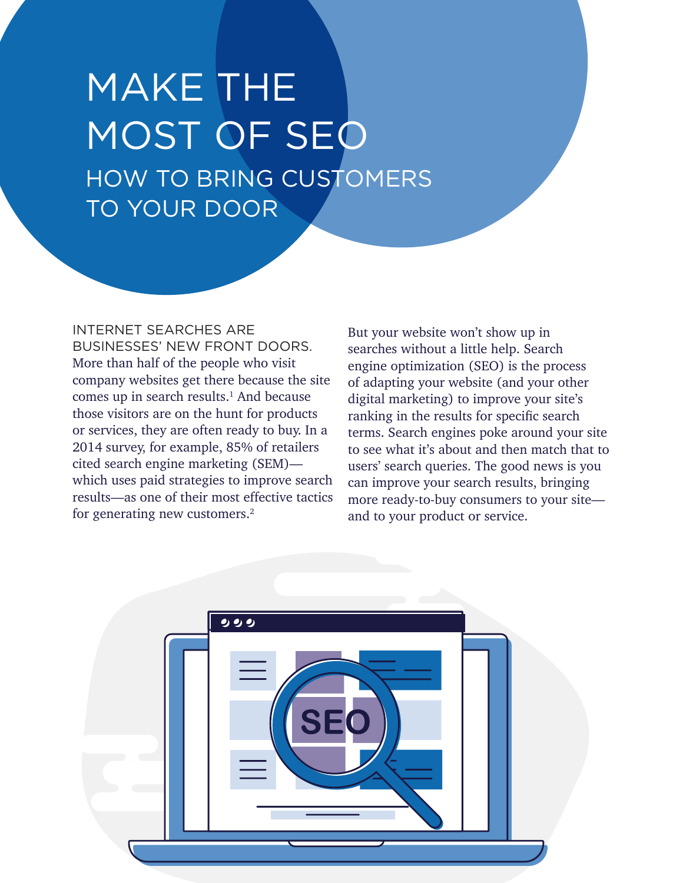# MAKE THE MOST OF SEO HOW TO BRING CUSTOMERS TO YOUR DOOR

#### INTERNET SEARCHES ARE

BUSINESSES' NEW FRONT DOORS. More than half of the people who visit company websites get there because the site comes up in search results. $<sup>1</sup>$  And because</sup> those visitors are on the hunt for products or services, they are often ready to buy. In a 2014 survey, for example, 85% of retailers cited search engine marketing (SEM) which uses paid strategies to improve search results—as one of their most effective tactics for generating new customers.2

But your website won't show up in searches without a little help. Search engine optimization (SEO) is the process of adapting your website (and your other digital marketing) to improve your site's ranking in the results for specific search terms. Search engines poke around your site to see what it's about and then match that to users' search queries. The good news is you can improve your search results, bringing more ready-to-buy consumers to your site and to your product or service.

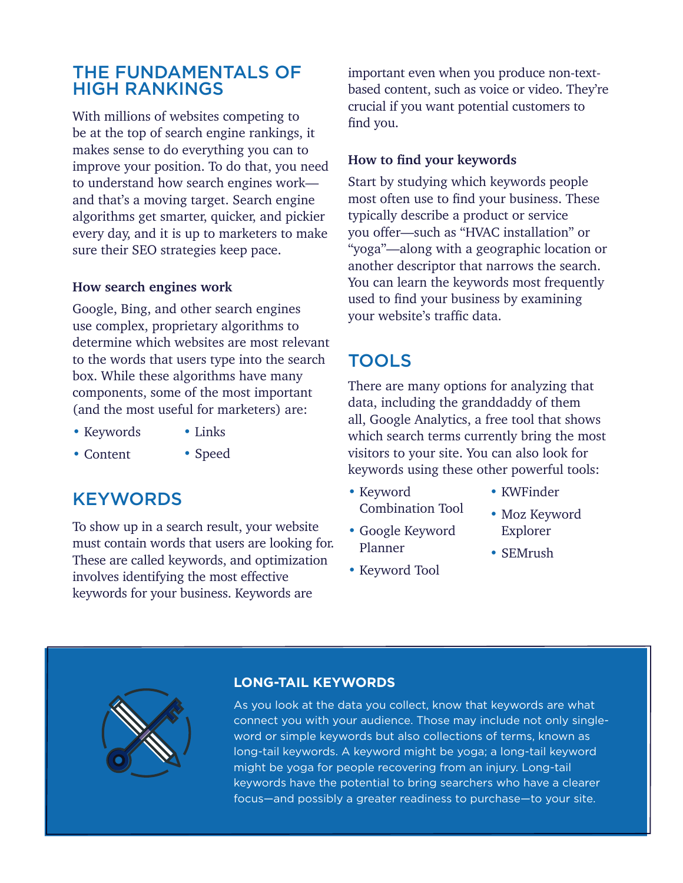## THE FUNDAMENTALS OF HIGH RANKINGS

With millions of websites competing to be at the top of search engine rankings, it makes sense to do everything you can to improve your position. To do that, you need to understand how search engines work and that's a moving target. Search engine algorithms get smarter, quicker, and pickier every day, and it is up to marketers to make sure their SEO strategies keep pace.

#### **How search engines work**

Google, Bing, and other search engines use complex, proprietary algorithms to determine which websites are most relevant to the words that users type into the search box. While these algorithms have many components, some of the most important (and the most useful for marketers) are:

• Links

- Keywords
- Content • Speed

## **KEYWORDS**

To show up in a search result, your website must contain words that users are looking for. These are called keywords, and optimization involves identifying the most effective keywords for your business. Keywords are

important even when you produce non-textbased content, such as voice or video. They're crucial if you want potential customers to find you.

#### **How to find your keywords**

Start by studying which keywords people most often use to find your business. These typically describe a product or service you offer—such as "HVAC installation" or "yoga"—along with a geographic location or another descriptor that narrows the search. You can learn the keywords most frequently used to find your business by examining your website's traffic data.

### TOOLS

There are many options for analyzing that data, including the granddaddy of them all, Google Analytics, a free tool that shows which search terms currently bring the most visitors to your site. You can also look for keywords using these other powerful tools:

- Keyword Combination Tool
- Google Keyword Planner
- Keyword Tool
- KWFinder
- Moz Keyword Explorer
- SEMrush



#### **LONG-TAIL KEYWORDS**

As you look at the data you collect, know that keywords are what connect you with your audience. Those may include not only singleword or simple keywords but also collections of terms, known as long-tail keywords. A keyword might be yoga; a long-tail keyword might be yoga for people recovering from an injury. Long-tail keywords have the potential to bring searchers who have a clearer focus—and possibly a greater readiness to purchase—to your site.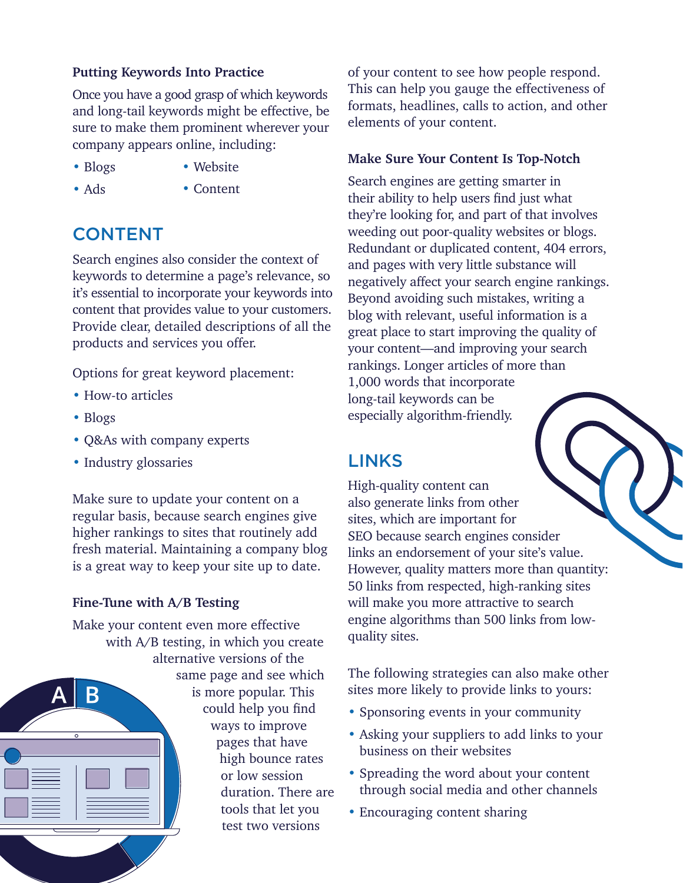#### **Putting Keywords Into Practice**

Once you have a good grasp of which keywords and long-tail keywords might be effective, be sure to make them prominent wherever your company appears online, including:

• Website

• Blogs

• Ads

• Content

## CONTENT

Search engines also consider the context of keywords to determine a page's relevance, so it's essential to incorporate your keywords into content that provides value to your customers. Provide clear, detailed descriptions of all the products and services you offer.

Options for great keyword placement:

- How-to articles
- Blogs
- Q&As with company experts
- Industry glossaries

Make sure to update your content on a regular basis, because search engines give higher rankings to sites that routinely add fresh material. Maintaining a company blog is a great way to keep your site up to date.

#### **Fine-Tune with A/B Testing**

Make your content even more effective with A/B testing, in which you create alternative versions of the same page and see which is more popular. This could help you find ways to improve pages that have high bounce rates or low session duration. There are tools that let you test two versions

of your content to see how people respond. This can help you gauge the effectiveness of formats, headlines, calls to action, and other elements of your content.

#### **Make Sure Your Content Is Top-Notch**

Search engines are getting smarter in their ability to help users find just what they're looking for, and part of that involves weeding out poor-quality websites or blogs. Redundant or duplicated content, 404 errors, and pages with very little substance will negatively affect your search engine rankings. Beyond avoiding such mistakes, writing a blog with relevant, useful information is a great place to start improving the quality of your content—and improving your search rankings. Longer articles of more than 1,000 words that incorporate long-tail keywords can be especially algorithm-friendly.

## LINKS

High-quality content can also generate links from other sites, which are important for SEO because search engines consider links an endorsement of your site's value. However, quality matters more than quantity: 50 links from respected, high-ranking sites will make you more attractive to search engine algorithms than 500 links from lowquality sites.

The following strategies can also make other sites more likely to provide links to yours:

- Sponsoring events in your community
- Asking your suppliers to add links to your business on their websites
- Spreading the word about your content through social media and other channels
- Encouraging content sharing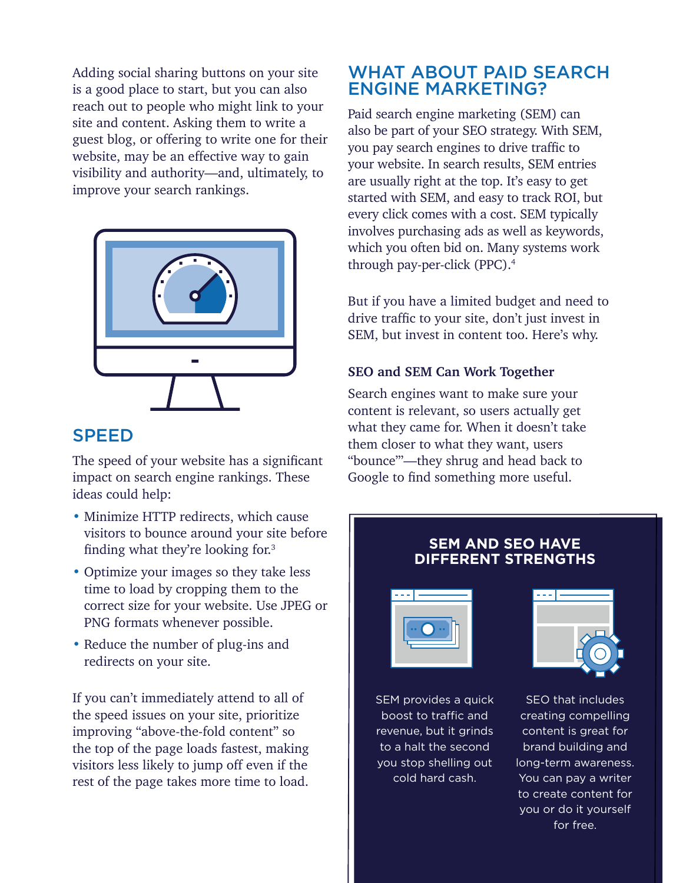Adding social sharing buttons on your site is a good place to start, but you can also reach out to people who might link to your site and content. Asking them to write a guest blog, or offering to write one for their website, may be an effective way to gain visibility and authority—and, ultimately, to improve your search rankings.



## SPEED

The speed of your website has a significant impact on search engine rankings. These ideas could help:

- Minimize HTTP redirects, which cause visitors to bounce around your site before finding what they're looking for.<sup>3</sup>
- Optimize your images so they take less time to load by cropping them to the correct size for your website. Use JPEG or PNG formats whenever possible.
- Reduce the number of plug-ins and redirects on your site.

If you can't immediately attend to all of the speed issues on your site, prioritize improving "above-the-fold content" so the top of the page loads fastest, making visitors less likely to jump off even if the rest of the page takes more time to load.

## WHAT ABOUT PAID SEARCH ENGINE MARKETING?

Paid search engine marketing (SEM) can also be part of your SEO strategy. With SEM, you pay search engines to drive traffic to your website. In search results, SEM entries are usually right at the top. It's easy to get started with SEM, and easy to track ROI, but every click comes with a cost. SEM typically involves purchasing ads as well as keywords, which you often bid on. Many systems work through pay-per-click (PPC).4

But if you have a limited budget and need to drive traffic to your site, don't just invest in SEM, but invest in content too. Here's why.

#### **SEO and SEM Can Work Together**

Search engines want to make sure your content is relevant, so users actually get what they came for. When it doesn't take them closer to what they want, users "bounce"'—they shrug and head back to Google to find something more useful.

## **DIFFERENT STRENGTHS**

**SEM AND SEO HAVE** 



SEM provides a quick boost to traffic and revenue, but it grinds to a halt the second you stop shelling out cold hard cash.



SEO that includes creating compelling content is great for brand building and long-term awareness. You can pay a writer to create content for you or do it yourself for free.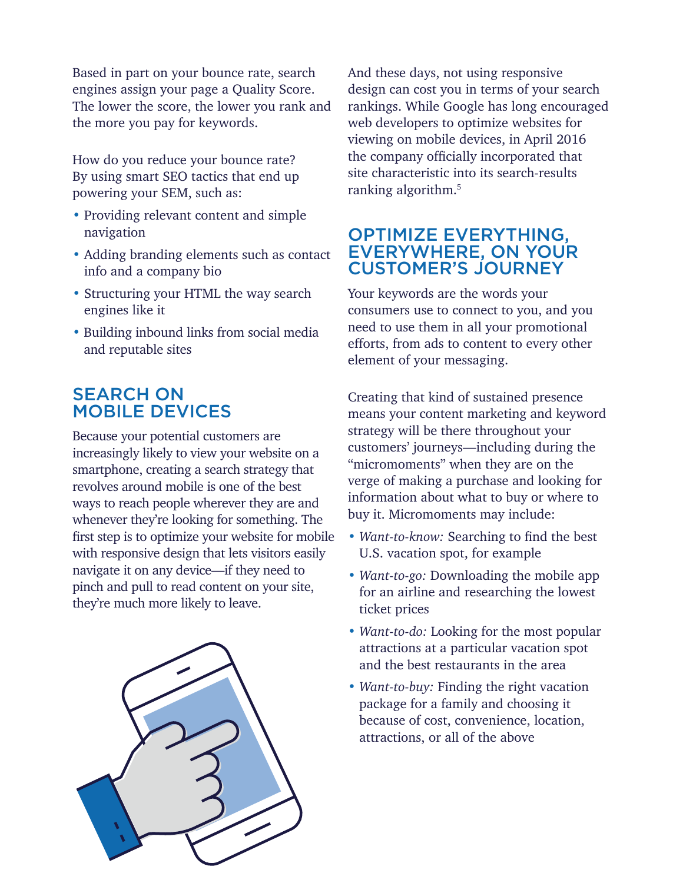Based in part on your bounce rate, search engines assign your page a Quality Score. The lower the score, the lower you rank and the more you pay for keywords.

How do you reduce your bounce rate? By using smart SEO tactics that end up powering your SEM, such as:

- Providing relevant content and simple navigation
- Adding branding elements such as contact info and a company bio
- Structuring your HTML the way search engines like it
- Building inbound links from social media and reputable sites

## SEARCH ON MOBILE DEVICES

Because your potential customers are increasingly likely to view your website on a smartphone, creating a search strategy that revolves around mobile is one of the best ways to reach people wherever they are and whenever they're looking for something. The first step is to optimize your website for mobile with responsive design that lets visitors easily navigate it on any device—if they need to pinch and pull to read content on your site, they're much more likely to leave.



And these days, not using responsive design can cost you in terms of your search rankings. While Google has long encouraged web developers to optimize websites for viewing on mobile devices, in April 2016 the company officially incorporated that site characteristic into its search-results ranking algorithm.<sup>5</sup>

### OPTIMIZE EVERYTHING, EVERYWHERE, ON YOUR CUSTOMER'S JOURNEY

Your keywords are the words your consumers use to connect to you, and you need to use them in all your promotional efforts, from ads to content to every other element of your messaging.

Creating that kind of sustained presence means your content marketing and keyword strategy will be there throughout your customers' journeys—including during the "micromoments" when they are on the verge of making a purchase and looking for information about what to buy or where to buy it. Micromoments may include:

- *Want-to-know:* Searching to find the best U.S. vacation spot, for example
- *Want-to-go:* Downloading the mobile app for an airline and researching the lowest ticket prices
- *Want-to-do:* Looking for the most popular attractions at a particular vacation spot and the best restaurants in the area
- *Want-to-buy:* Finding the right vacation package for a family and choosing it because of cost, convenience, location, attractions, or all of the above